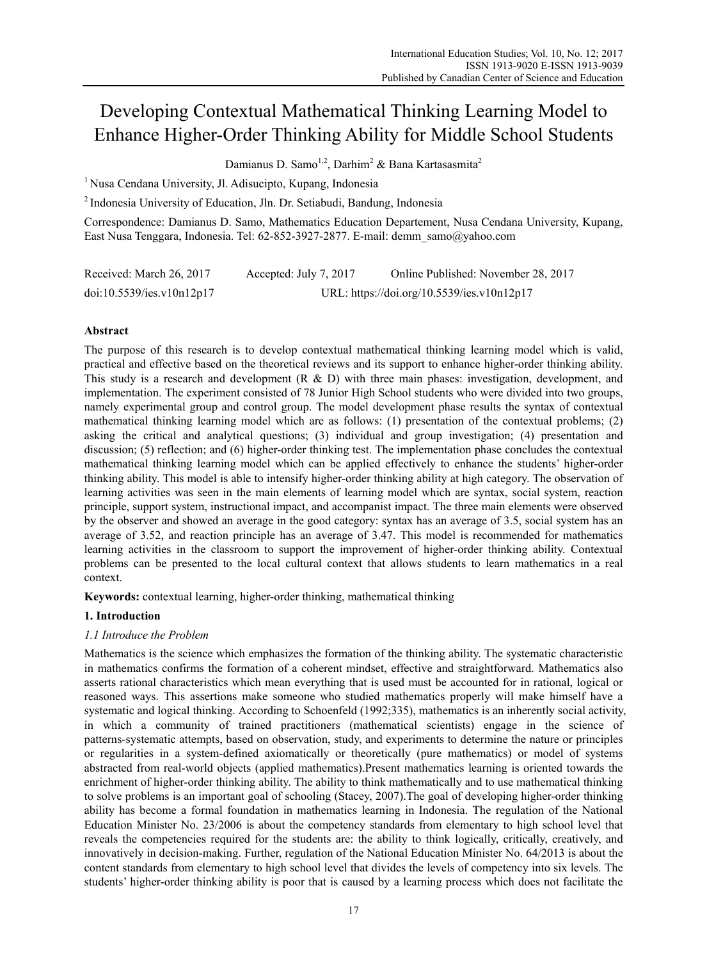# Developing Contextual Mathematical Thinking Learning Model to Enhance Higher-Order Thinking Ability for Middle School Students

Damianus D. Samo<sup>1,2</sup>, Darhim<sup>2</sup> & Bana Kartasasmita<sup>2</sup>

1 Nusa Cendana University, Jl. Adisucipto, Kupang, Indonesia

2 Indonesia University of Education, Jln. Dr. Setiabudi, Bandung, Indonesia

Correspondence: Damianus D. Samo, Mathematics Education Departement, Nusa Cendana University, Kupang, East Nusa Tenggara, Indonesia. Tel: 62-852-3927-2877. E-mail: demm\_samo@yahoo.com

| Received: March 26, 2017  | Accepted: July 7, 2017 | Online Published: November 28, 2017        |
|---------------------------|------------------------|--------------------------------------------|
| doi:10.5539/ies.v10n12p17 |                        | URL: https://doi.org/10.5539/ies.v10n12p17 |

# **Abstract**

The purpose of this research is to develop contextual mathematical thinking learning model which is valid, practical and effective based on the theoretical reviews and its support to enhance higher-order thinking ability. This study is a research and development  $(R \& D)$  with three main phases: investigation, development, and implementation. The experiment consisted of 78 Junior High School students who were divided into two groups, namely experimental group and control group. The model development phase results the syntax of contextual mathematical thinking learning model which are as follows: (1) presentation of the contextual problems; (2) asking the critical and analytical questions; (3) individual and group investigation; (4) presentation and discussion; (5) reflection; and (6) higher-order thinking test. The implementation phase concludes the contextual mathematical thinking learning model which can be applied effectively to enhance the students' higher-order thinking ability. This model is able to intensify higher-order thinking ability at high category. The observation of learning activities was seen in the main elements of learning model which are syntax, social system, reaction principle, support system, instructional impact, and accompanist impact. The three main elements were observed by the observer and showed an average in the good category: syntax has an average of 3.5, social system has an average of 3.52, and reaction principle has an average of 3.47. This model is recommended for mathematics learning activities in the classroom to support the improvement of higher-order thinking ability. Contextual problems can be presented to the local cultural context that allows students to learn mathematics in a real context.

**Keywords:** contextual learning, higher-order thinking, mathematical thinking

# **1. Introduction**

# *1.1 Introduce the Problem*

Mathematics is the science which emphasizes the formation of the thinking ability. The systematic characteristic in mathematics confirms the formation of a coherent mindset, effective and straightforward. Mathematics also asserts rational characteristics which mean everything that is used must be accounted for in rational, logical or reasoned ways. This assertions make someone who studied mathematics properly will make himself have a systematic and logical thinking. According to Schoenfeld (1992;335), mathematics is an inherently social activity, in which a community of trained practitioners (mathematical scientists) engage in the science of patterns-systematic attempts, based on observation, study, and experiments to determine the nature or principles or regularities in a system-defined axiomatically or theoretically (pure mathematics) or model of systems abstracted from real-world objects (applied mathematics).Present mathematics learning is oriented towards the enrichment of higher-order thinking ability. The ability to think mathematically and to use mathematical thinking to solve problems is an important goal of schooling (Stacey, 2007).The goal of developing higher-order thinking ability has become a formal foundation in mathematics learning in Indonesia. The regulation of the National Education Minister No. 23/2006 is about the competency standards from elementary to high school level that reveals the competencies required for the students are: the ability to think logically, critically, creatively, and innovatively in decision-making. Further, regulation of the National Education Minister No. 64/2013 is about the content standards from elementary to high school level that divides the levels of competency into six levels. The students' higher-order thinking ability is poor that is caused by a learning process which does not facilitate the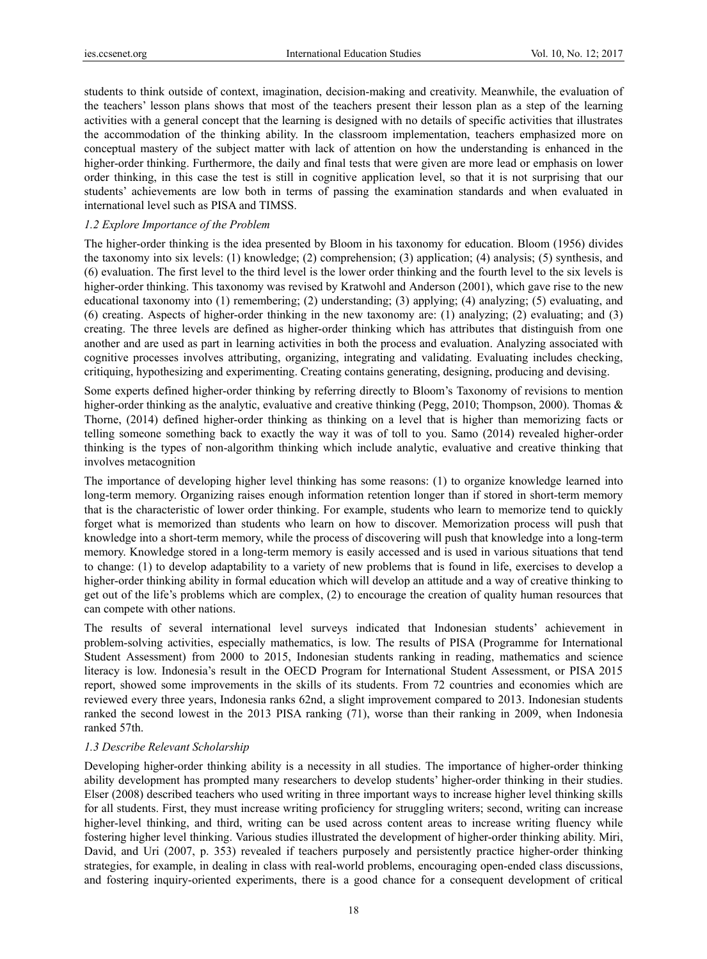students to think outside of context, imagination, decision-making and creativity. Meanwhile, the evaluation of the teachers' lesson plans shows that most of the teachers present their lesson plan as a step of the learning activities with a general concept that the learning is designed with no details of specific activities that illustrates the accommodation of the thinking ability. In the classroom implementation, teachers emphasized more on conceptual mastery of the subject matter with lack of attention on how the understanding is enhanced in the higher-order thinking. Furthermore, the daily and final tests that were given are more lead or emphasis on lower order thinking, in this case the test is still in cognitive application level, so that it is not surprising that our students' achievements are low both in terms of passing the examination standards and when evaluated in international level such as PISA and TIMSS.

## *1.2 Explore Importance of the Problem*

The higher-order thinking is the idea presented by Bloom in his taxonomy for education. Bloom (1956) divides the taxonomy into six levels: (1) knowledge; (2) comprehension; (3) application; (4) analysis; (5) synthesis, and (6) evaluation. The first level to the third level is the lower order thinking and the fourth level to the six levels is higher-order thinking. This taxonomy was revised by Kratwohl and Anderson (2001), which gave rise to the new educational taxonomy into (1) remembering; (2) understanding; (3) applying; (4) analyzing; (5) evaluating, and (6) creating. Aspects of higher-order thinking in the new taxonomy are: (1) analyzing; (2) evaluating; and (3) creating. The three levels are defined as higher-order thinking which has attributes that distinguish from one another and are used as part in learning activities in both the process and evaluation. Analyzing associated with cognitive processes involves attributing, organizing, integrating and validating. Evaluating includes checking, critiquing, hypothesizing and experimenting. Creating contains generating, designing, producing and devising.

Some experts defined higher-order thinking by referring directly to Bloom's Taxonomy of revisions to mention higher-order thinking as the analytic, evaluative and creative thinking (Pegg, 2010; Thompson, 2000). Thomas & Thorne, (2014) defined higher-order thinking as thinking on a level that is higher than memorizing facts or telling someone something back to exactly the way it was of toll to you. Samo (2014) revealed higher-order thinking is the types of non-algorithm thinking which include analytic, evaluative and creative thinking that involves metacognition

The importance of developing higher level thinking has some reasons: (1) to organize knowledge learned into long-term memory. Organizing raises enough information retention longer than if stored in short-term memory that is the characteristic of lower order thinking. For example, students who learn to memorize tend to quickly forget what is memorized than students who learn on how to discover. Memorization process will push that knowledge into a short-term memory, while the process of discovering will push that knowledge into a long-term memory. Knowledge stored in a long-term memory is easily accessed and is used in various situations that tend to change: (1) to develop adaptability to a variety of new problems that is found in life, exercises to develop a higher-order thinking ability in formal education which will develop an attitude and a way of creative thinking to get out of the life's problems which are complex, (2) to encourage the creation of quality human resources that can compete with other nations.

The results of several international level surveys indicated that Indonesian students' achievement in problem-solving activities, especially mathematics, is low. The results of PISA (Programme for International Student Assessment) from 2000 to 2015, Indonesian students ranking in reading, mathematics and science literacy is low. Indonesia's result in the OECD Program for International Student Assessment, or PISA 2015 report, showed some improvements in the skills of its students. From 72 countries and economies which are reviewed every three years, Indonesia ranks 62nd, a slight improvement compared to 2013. Indonesian students ranked the second lowest in the 2013 PISA ranking (71), worse than their ranking in 2009, when Indonesia ranked 57th.

#### *1.3 Describe Relevant Scholarship*

Developing higher-order thinking ability is a necessity in all studies. The importance of higher-order thinking ability development has prompted many researchers to develop students' higher-order thinking in their studies. Elser (2008) described teachers who used writing in three important ways to increase higher level thinking skills for all students. First, they must increase writing proficiency for struggling writers; second, writing can increase higher-level thinking, and third, writing can be used across content areas to increase writing fluency while fostering higher level thinking. Various studies illustrated the development of higher-order thinking ability. Miri, David, and Uri (2007, p. 353) revealed if teachers purposely and persistently practice higher-order thinking strategies, for example, in dealing in class with real-world problems, encouraging open-ended class discussions, and fostering inquiry-oriented experiments, there is a good chance for a consequent development of critical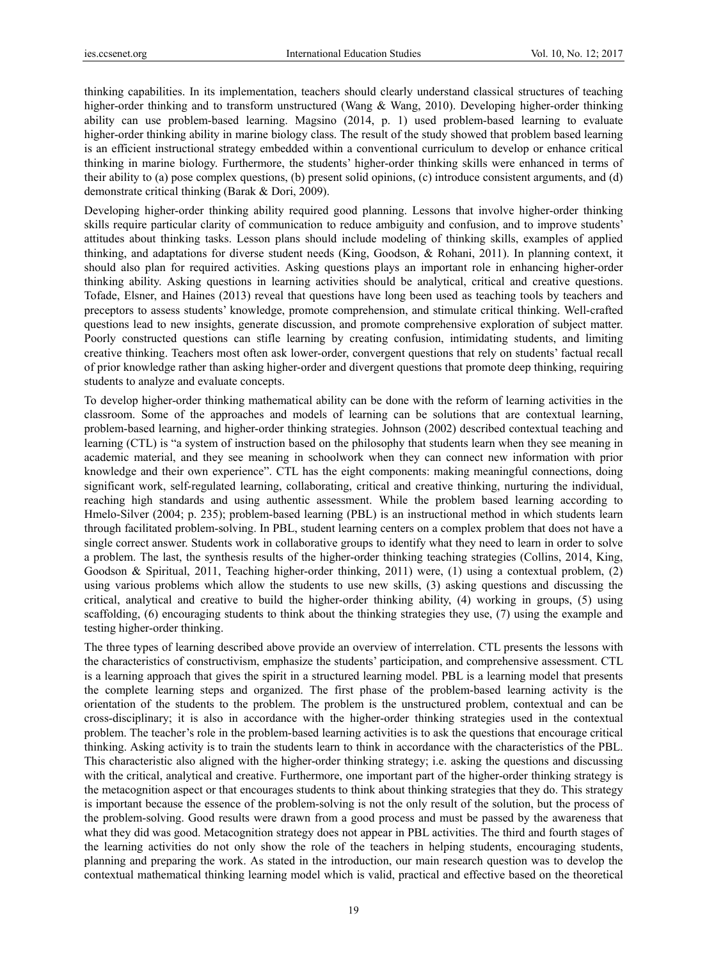thinking capabilities. In its implementation, teachers should clearly understand classical structures of teaching higher-order thinking and to transform unstructured (Wang & Wang, 2010). Developing higher-order thinking ability can use problem-based learning. Magsino (2014, p. 1) used problem-based learning to evaluate higher-order thinking ability in marine biology class. The result of the study showed that problem based learning is an efficient instructional strategy embedded within a conventional curriculum to develop or enhance critical thinking in marine biology. Furthermore, the students' higher-order thinking skills were enhanced in terms of their ability to (a) pose complex questions, (b) present solid opinions, (c) introduce consistent arguments, and (d) demonstrate critical thinking (Barak & Dori, 2009).

Developing higher-order thinking ability required good planning. Lessons that involve higher-order thinking skills require particular clarity of communication to reduce ambiguity and confusion, and to improve students' attitudes about thinking tasks. Lesson plans should include modeling of thinking skills, examples of applied thinking, and adaptations for diverse student needs (King, Goodson, & Rohani, 2011). In planning context, it should also plan for required activities. Asking questions plays an important role in enhancing higher-order thinking ability. Asking questions in learning activities should be analytical, critical and creative questions. Tofade, Elsner, and Haines (2013) reveal that questions have long been used as teaching tools by teachers and preceptors to assess students' knowledge, promote comprehension, and stimulate critical thinking. Well-crafted questions lead to new insights, generate discussion, and promote comprehensive exploration of subject matter. Poorly constructed questions can stifle learning by creating confusion, intimidating students, and limiting creative thinking. Teachers most often ask lower-order, convergent questions that rely on students' factual recall of prior knowledge rather than asking higher-order and divergent questions that promote deep thinking, requiring students to analyze and evaluate concepts.

To develop higher-order thinking mathematical ability can be done with the reform of learning activities in the classroom. Some of the approaches and models of learning can be solutions that are contextual learning, problem-based learning, and higher-order thinking strategies. Johnson (2002) described contextual teaching and learning (CTL) is "a system of instruction based on the philosophy that students learn when they see meaning in academic material, and they see meaning in schoolwork when they can connect new information with prior knowledge and their own experience". CTL has the eight components: making meaningful connections, doing significant work, self-regulated learning, collaborating, critical and creative thinking, nurturing the individual, reaching high standards and using authentic assessment. While the problem based learning according to Hmelo-Silver (2004; p. 235); problem-based learning (PBL) is an instructional method in which students learn through facilitated problem-solving. In PBL, student learning centers on a complex problem that does not have a single correct answer. Students work in collaborative groups to identify what they need to learn in order to solve a problem. The last, the synthesis results of the higher-order thinking teaching strategies (Collins, 2014, King, Goodson & Spiritual, 2011, Teaching higher-order thinking, 2011) were, (1) using a contextual problem, (2) using various problems which allow the students to use new skills, (3) asking questions and discussing the critical, analytical and creative to build the higher-order thinking ability, (4) working in groups, (5) using scaffolding, (6) encouraging students to think about the thinking strategies they use, (7) using the example and testing higher-order thinking.

The three types of learning described above provide an overview of interrelation. CTL presents the lessons with the characteristics of constructivism, emphasize the students' participation, and comprehensive assessment. CTL is a learning approach that gives the spirit in a structured learning model. PBL is a learning model that presents the complete learning steps and organized. The first phase of the problem-based learning activity is the orientation of the students to the problem. The problem is the unstructured problem, contextual and can be cross-disciplinary; it is also in accordance with the higher-order thinking strategies used in the contextual problem. The teacher's role in the problem-based learning activities is to ask the questions that encourage critical thinking. Asking activity is to train the students learn to think in accordance with the characteristics of the PBL. This characteristic also aligned with the higher-order thinking strategy; i.e. asking the questions and discussing with the critical, analytical and creative. Furthermore, one important part of the higher-order thinking strategy is the metacognition aspect or that encourages students to think about thinking strategies that they do. This strategy is important because the essence of the problem-solving is not the only result of the solution, but the process of the problem-solving. Good results were drawn from a good process and must be passed by the awareness that what they did was good. Metacognition strategy does not appear in PBL activities. The third and fourth stages of the learning activities do not only show the role of the teachers in helping students, encouraging students, planning and preparing the work. As stated in the introduction, our main research question was to develop the contextual mathematical thinking learning model which is valid, practical and effective based on the theoretical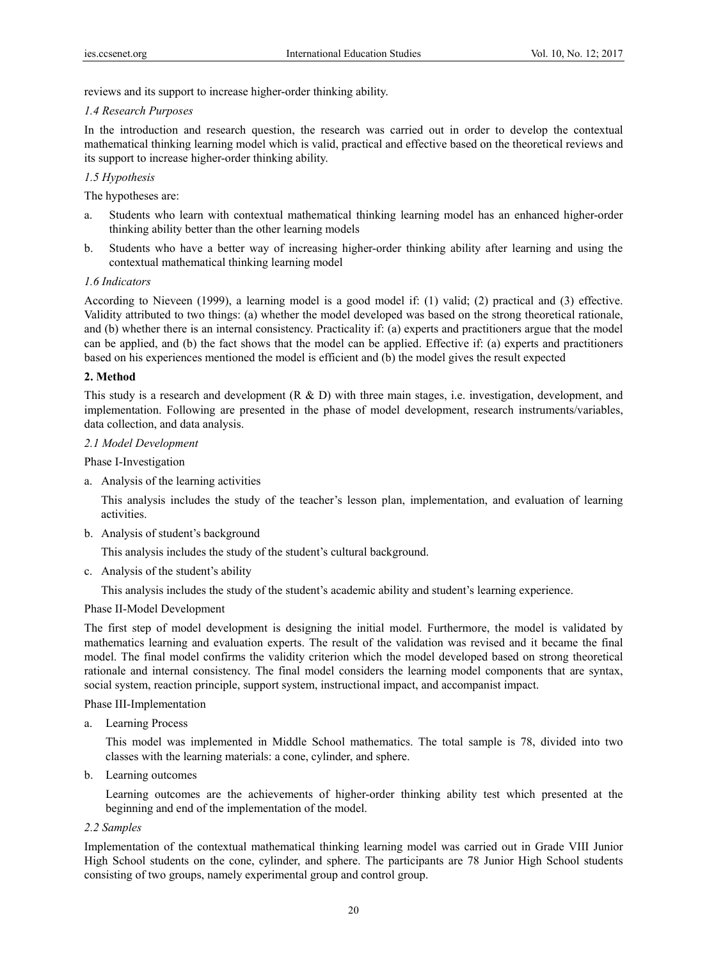reviews and its support to increase higher-order thinking ability.

## *1.4 Research Purposes*

In the introduction and research question, the research was carried out in order to develop the contextual mathematical thinking learning model which is valid, practical and effective based on the theoretical reviews and its support to increase higher-order thinking ability.

## *1.5 Hypothesis*

The hypotheses are:

- a. Students who learn with contextual mathematical thinking learning model has an enhanced higher-order thinking ability better than the other learning models
- b. Students who have a better way of increasing higher-order thinking ability after learning and using the contextual mathematical thinking learning model

## *1.6 Indicators*

According to Nieveen (1999), a learning model is a good model if: (1) valid; (2) practical and (3) effective. Validity attributed to two things: (a) whether the model developed was based on the strong theoretical rationale, and (b) whether there is an internal consistency. Practicality if: (a) experts and practitioners argue that the model can be applied, and (b) the fact shows that the model can be applied. Effective if: (a) experts and practitioners based on his experiences mentioned the model is efficient and (b) the model gives the result expected

## **2. Method**

This study is a research and development (R & D) with three main stages, i.e. investigation, development, and implementation. Following are presented in the phase of model development, research instruments/variables, data collection, and data analysis.

## *2.1 Model Development*

Phase I-Investigation

a. Analysis of the learning activities

This analysis includes the study of the teacher's lesson plan, implementation, and evaluation of learning activities.

b. Analysis of student's background

This analysis includes the study of the student's cultural background.

c. Analysis of the student's ability

This analysis includes the study of the student's academic ability and student's learning experience.

#### Phase II-Model Development

The first step of model development is designing the initial model. Furthermore, the model is validated by mathematics learning and evaluation experts. The result of the validation was revised and it became the final model. The final model confirms the validity criterion which the model developed based on strong theoretical rationale and internal consistency. The final model considers the learning model components that are syntax, social system, reaction principle, support system, instructional impact, and accompanist impact.

Phase III-Implementation

a. Learning Process

This model was implemented in Middle School mathematics. The total sample is 78, divided into two classes with the learning materials: a cone, cylinder, and sphere.

b. Learning outcomes

Learning outcomes are the achievements of higher-order thinking ability test which presented at the beginning and end of the implementation of the model.

#### *2.2 Samples*

Implementation of the contextual mathematical thinking learning model was carried out in Grade VIII Junior High School students on the cone, cylinder, and sphere. The participants are 78 Junior High School students consisting of two groups, namely experimental group and control group.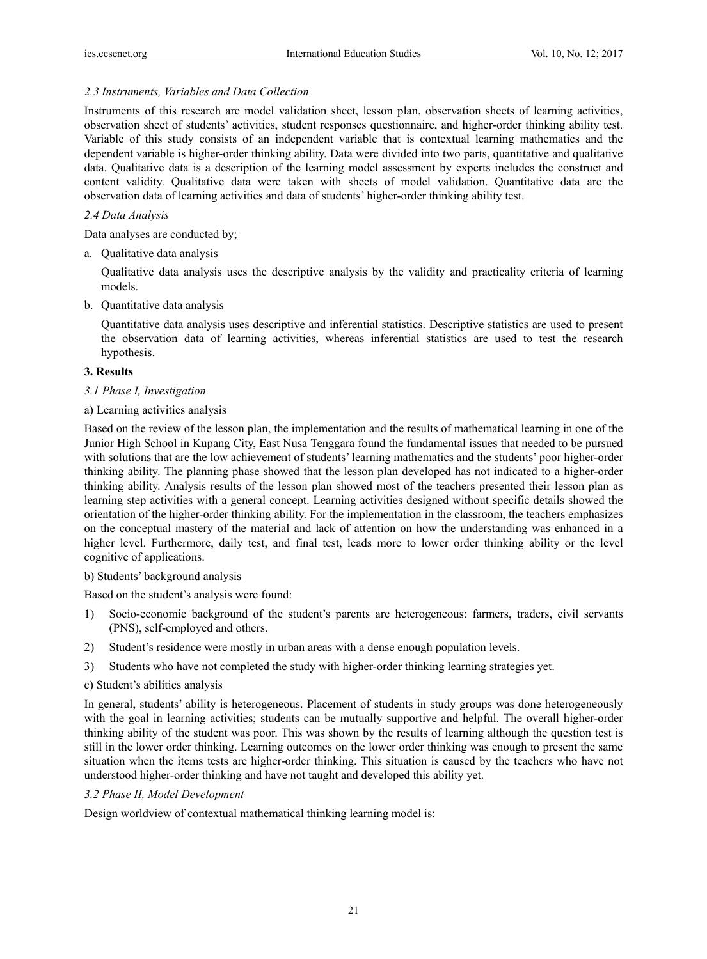# *2.3 Instruments, Variables and Data Collection*

Instruments of this research are model validation sheet, lesson plan, observation sheets of learning activities, observation sheet of students' activities, student responses questionnaire, and higher-order thinking ability test. Variable of this study consists of an independent variable that is contextual learning mathematics and the dependent variable is higher-order thinking ability. Data were divided into two parts, quantitative and qualitative data. Qualitative data is a description of the learning model assessment by experts includes the construct and content validity. Qualitative data were taken with sheets of model validation. Quantitative data are the observation data of learning activities and data of students' higher-order thinking ability test.

## *2.4 Data Analysis*

Data analyses are conducted by;

a. Qualitative data analysis

Qualitative data analysis uses the descriptive analysis by the validity and practicality criteria of learning models.

b. Quantitative data analysis

Quantitative data analysis uses descriptive and inferential statistics. Descriptive statistics are used to present the observation data of learning activities, whereas inferential statistics are used to test the research hypothesis.

# **3. Results**

# *3.1 Phase I, Investigation*

# a) Learning activities analysis

Based on the review of the lesson plan, the implementation and the results of mathematical learning in one of the Junior High School in Kupang City, East Nusa Tenggara found the fundamental issues that needed to be pursued with solutions that are the low achievement of students' learning mathematics and the students' poor higher-order thinking ability. The planning phase showed that the lesson plan developed has not indicated to a higher-order thinking ability. Analysis results of the lesson plan showed most of the teachers presented their lesson plan as learning step activities with a general concept. Learning activities designed without specific details showed the orientation of the higher-order thinking ability. For the implementation in the classroom, the teachers emphasizes on the conceptual mastery of the material and lack of attention on how the understanding was enhanced in a higher level. Furthermore, daily test, and final test, leads more to lower order thinking ability or the level cognitive of applications.

b) Students' background analysis

Based on the student's analysis were found:

- 1) Socio-economic background of the student's parents are heterogeneous: farmers, traders, civil servants (PNS), self-employed and others.
- 2) Student's residence were mostly in urban areas with a dense enough population levels.
- 3) Students who have not completed the study with higher-order thinking learning strategies yet.

## c) Student's abilities analysis

In general, students' ability is heterogeneous. Placement of students in study groups was done heterogeneously with the goal in learning activities; students can be mutually supportive and helpful. The overall higher-order thinking ability of the student was poor. This was shown by the results of learning although the question test is still in the lower order thinking. Learning outcomes on the lower order thinking was enough to present the same situation when the items tests are higher-order thinking. This situation is caused by the teachers who have not understood higher-order thinking and have not taught and developed this ability yet.

## *3.2 Phase II, Model Development*

Design worldview of contextual mathematical thinking learning model is: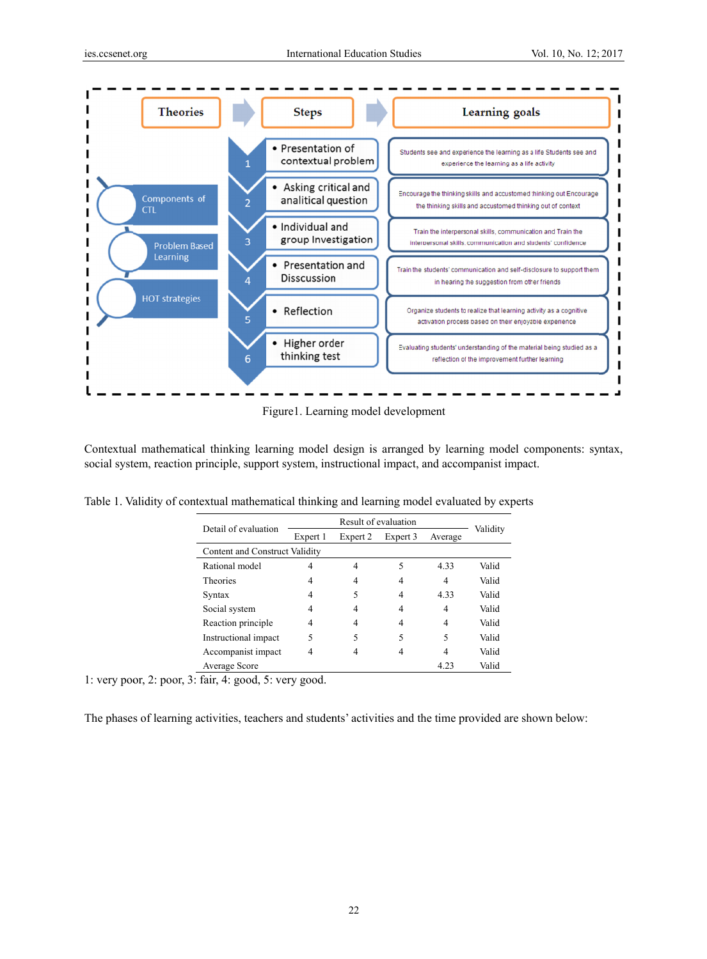

Figure1. Learning model development

Contextual mathematical thinking learning model design is arranged by learning model components: syntax, social system, reaction principle, support system, instructional impact, and accompanist impact.

Table 1. Validity of contextual mathematical thinking and learning model evaluated by experts

| Detail of evaluation           | Expert 1 | Expert 2 | Expert 3       | Average | Validity |
|--------------------------------|----------|----------|----------------|---------|----------|
| Content and Construct Validity |          |          |                |         |          |
| Rational model                 | 4        | 4        | 5              | 4.33    | Valid    |
| Theories                       | 4        | 4        | $\overline{4}$ | 4       | Valid    |
| Syntax                         | 4        | 5        | 4              | 4.33    | Valid    |
| Social system                  | 4        | 4        | 4              | 4       | Valid    |
| Reaction principle.            | 4        | 4        | 4              | 4       | Valid    |
| Instructional impact           | 5        | 5        | 5              | 5       | Valid    |
| Accompanist impact             | 4        |          | 4              | 4       | Valid    |
| Average Score                  |          |          |                | 4.23    | Valid    |

1: very poor, 2: poor, 3: fair, 4: good, 5: very good.

The phases of learning activities, teachers and students' activities and the time provided are sh s<br>nown below: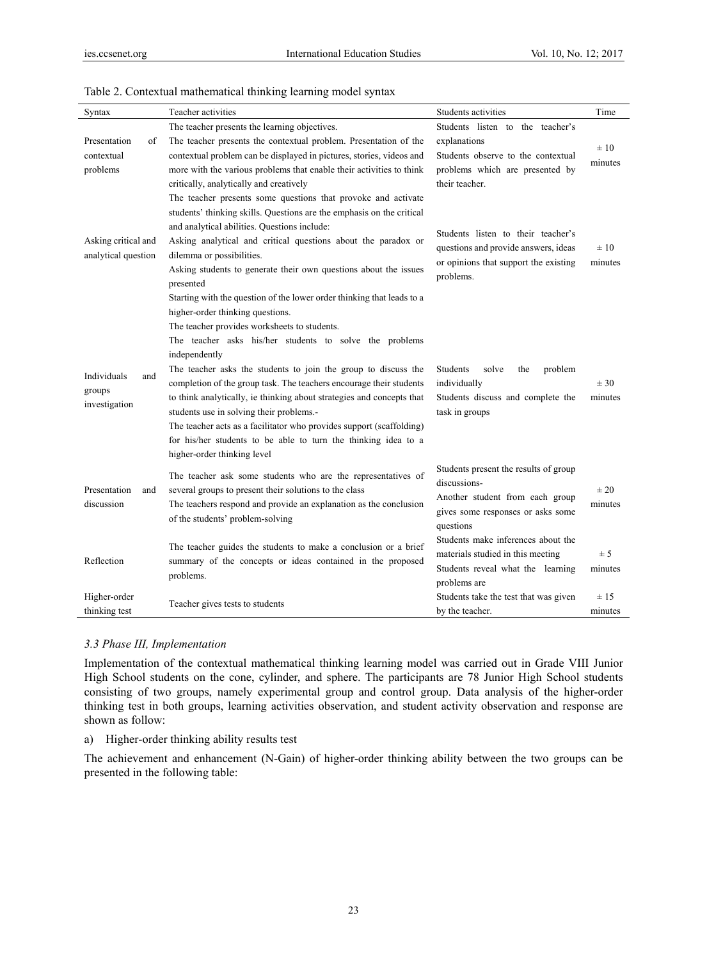| Syntax                                        | Teacher activities                                                                                                                                                                                                                                                                                                                                                                                                                                                                                                                                                                                  | Students activities                                                                                                                         | Time                |
|-----------------------------------------------|-----------------------------------------------------------------------------------------------------------------------------------------------------------------------------------------------------------------------------------------------------------------------------------------------------------------------------------------------------------------------------------------------------------------------------------------------------------------------------------------------------------------------------------------------------------------------------------------------------|---------------------------------------------------------------------------------------------------------------------------------------------|---------------------|
| Presentation<br>of<br>contextual<br>problems  | The teacher presents the learning objectives.<br>The teacher presents the contextual problem. Presentation of the<br>contextual problem can be displayed in pictures, stories, videos and<br>more with the various problems that enable their activities to think<br>critically, analytically and creatively<br>The teacher presents some questions that provoke and activate                                                                                                                                                                                                                       | Students listen to the teacher's<br>explanations<br>Students observe to the contextual<br>problems which are presented by<br>their teacher. | $\pm 10$<br>minutes |
| Asking critical and<br>analytical question    | students' thinking skills. Questions are the emphasis on the critical<br>and analytical abilities. Questions include:<br>Asking analytical and critical questions about the paradox or<br>dilemma or possibilities.<br>Asking students to generate their own questions about the issues<br>presented<br>Starting with the question of the lower order thinking that leads to a                                                                                                                                                                                                                      | Students listen to their teacher's<br>questions and provide answers, ideas<br>or opinions that support the existing<br>problems.            | $\pm 10$<br>minutes |
| Individuals<br>and<br>groups<br>investigation | higher-order thinking questions.<br>The teacher provides worksheets to students.<br>The teacher asks his/her students to solve the problems<br>independently<br>The teacher asks the students to join the group to discuss the<br>completion of the group task. The teachers encourage their students<br>to think analytically, ie thinking about strategies and concepts that<br>students use in solving their problems.-<br>The teacher acts as a facilitator who provides support (scaffolding)<br>for his/her students to be able to turn the thinking idea to a<br>higher-order thinking level | <b>Students</b><br>solve<br>problem<br>the<br>individually<br>Students discuss and complete the<br>task in groups                           | ± 30<br>minutes     |
| Presentation<br>and<br>discussion             | The teacher ask some students who are the representatives of<br>several groups to present their solutions to the class<br>The teachers respond and provide an explanation as the conclusion<br>of the students' problem-solving                                                                                                                                                                                                                                                                                                                                                                     | Students present the results of group<br>discussions-<br>Another student from each group<br>gives some responses or asks some<br>questions  | $\pm 20$<br>minutes |
| Reflection                                    | The teacher guides the students to make a conclusion or a brief<br>summary of the concepts or ideas contained in the proposed<br>problems.                                                                                                                                                                                                                                                                                                                                                                                                                                                          | Students make inferences about the<br>materials studied in this meeting<br>Students reveal what the learning<br>problems are                | ± 5<br>minutes      |
| Higher-order<br>thinking test                 | Teacher gives tests to students                                                                                                                                                                                                                                                                                                                                                                                                                                                                                                                                                                     | Students take the test that was given<br>by the teacher.                                                                                    | ±15<br>minutes      |

## Table 2. Contextual mathematical thinking learning model syntax

# *3.3 Phase III, Implementation*

Implementation of the contextual mathematical thinking learning model was carried out in Grade VIII Junior High School students on the cone, cylinder, and sphere. The participants are 78 Junior High School students consisting of two groups, namely experimental group and control group. Data analysis of the higher-order thinking test in both groups, learning activities observation, and student activity observation and response are shown as follow:

## a) Higher-order thinking ability results test

The achievement and enhancement (N-Gain) of higher-order thinking ability between the two groups can be presented in the following table: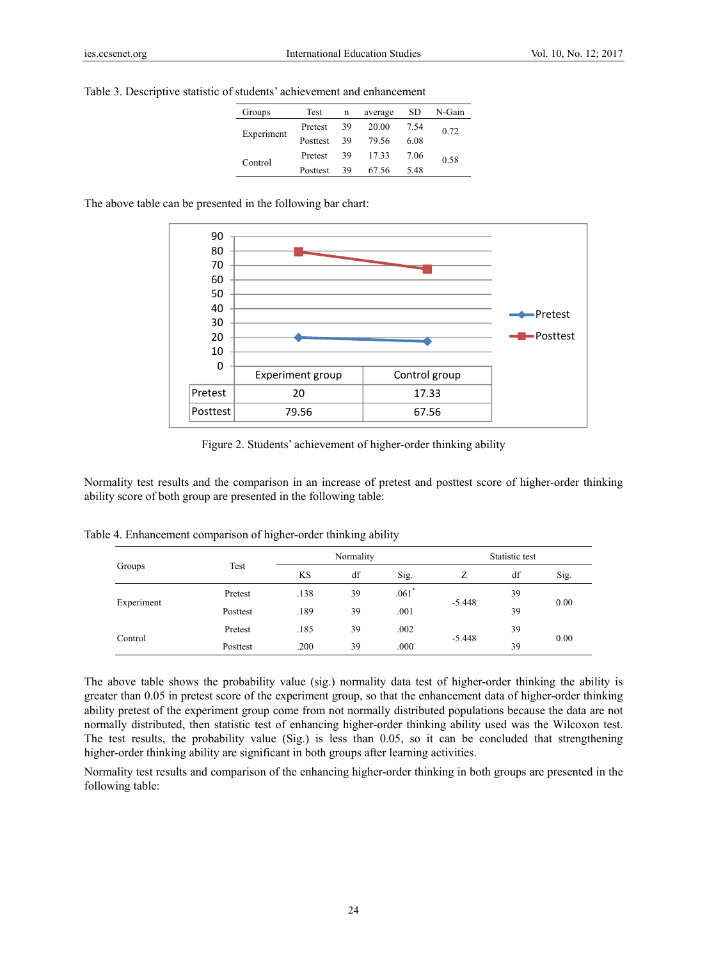| Table 3. Descriptive statistic of students' achievement and enhancement |  |
|-------------------------------------------------------------------------|--|
|-------------------------------------------------------------------------|--|

| Groups     | Test     | n  | average | SD   | N-Gain |
|------------|----------|----|---------|------|--------|
| Experiment | Pretest  | 39 | 20.00   | 7.54 | 0.72   |
|            | Posttest | 39 | 79.56   | 6.08 |        |
| Control    | Pretest  | 39 | 17.33   | 7.06 | 0.58   |
|            | Posttest | 39 | 67.56   | 5.48 |        |

The above table can be presented in the following bar chart:



Figure 2. Students' achievement of higher-order thinking ability

Normality test results and the comparison in an increase of pretest and posttest score of higher-order thinking ability score of both group are presented in the following table:

| Table 4. Enhancement comparison of higher-order thinking ability |  |  |
|------------------------------------------------------------------|--|--|
|                                                                  |  |  |

|            |          | Normality |    |         | Statistic test |    |      |
|------------|----------|-----------|----|---------|----------------|----|------|
| Groups     | Test     | <b>KS</b> | df | Sig.    |                | df | Sig. |
| Experiment | Pretest  | .138      | 39 | $.061*$ | $-5.448$       | 39 | 0.00 |
|            | Posttest | .189      | 39 | .001    |                | 39 |      |
| Control    | Pretest  | .185      | 39 | .002    |                | 39 |      |
|            | Posttest | .200      | 39 | .000    | $-5.448$       | 39 | 0.00 |

The above table shows the probability value (sig.) normality data test of higher-order thinking the ability is greater than 0.05 in pretest score of the experiment group, so that the enhancement data of higher-order thinking ability pretest of the experiment group come from not normally distributed populations because the data are not normally distributed, then statistic test of enhancing higher-order thinking ability used was the Wilcoxon test. The test results, the probability value (Sig.) is less than 0.05, so it can be concluded that strengthening higher-order thinking ability are significant in both groups after learning activities.

Normality test results and comparison of the enhancing higher-order thinking in both groups are presented in the following table: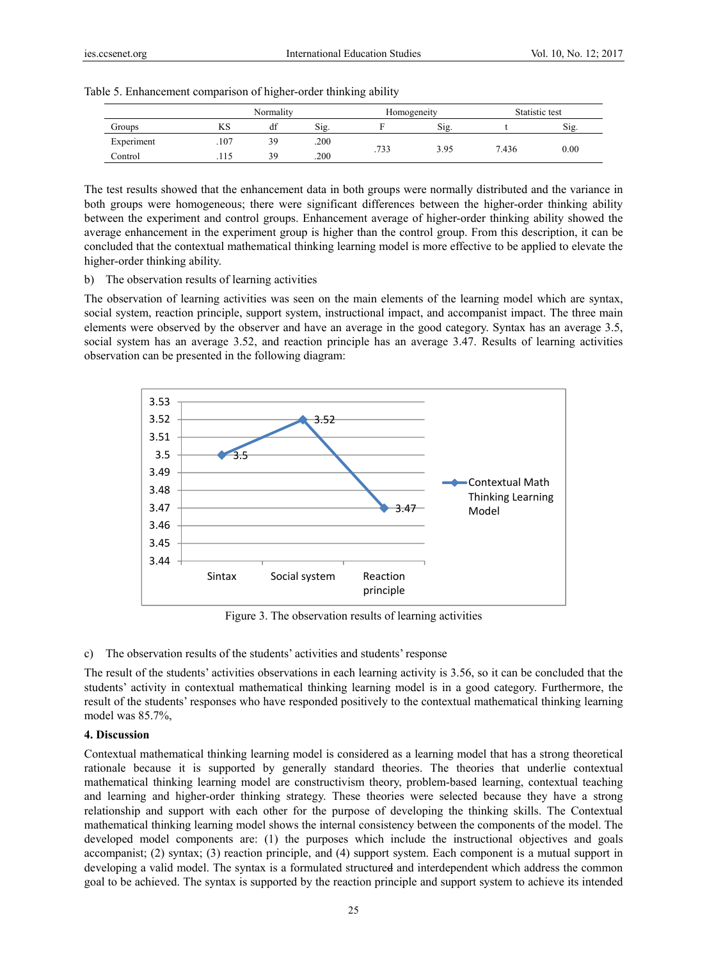|            |      | Normality |      |      | Homogeneity |       | Statistic test |  |
|------------|------|-----------|------|------|-------------|-------|----------------|--|
| Groups     | ΚS   | df        | S1g. |      | Sig.        |       | Sig.           |  |
| Experiment | 107  | 39        | .200 |      |             |       |                |  |
| Control    | .115 | 39        | .200 | .733 | 3.95        | 7.436 | 0.00           |  |

Table 5. Enhancement comparison of higher-order thinking ability

The test results showed that the enhancement data in both groups were normally distributed and the variance in both groups were homogeneous; there were significant differences between the higher-order thinking ability between the experiment and control groups. Enhancement average of higher-order thinking ability showed the average enhancement in the experiment group is higher than the control group. From this description, it can be concluded that the contextual mathematical thinking learning model is more effective to be applied to elevate the higher-order thinking ability.

## b) The observation results of learning activities

The observation of learning activities was seen on the main elements of the learning model which are syntax, social system, reaction principle, support system, instructional impact, and accompanist impact. The three main elements were observed by the observer and have an average in the good category. Syntax has an average 3.5, social system has an average 3.52, and reaction principle has an average 3.47. Results of learning activities observation can be presented in the following diagram:



Figure 3. The observation results of learning activities

c) The observation results of the students' activities and students' response

The result of the students' activities observations in each learning activity is 3.56, so it can be concluded that the students' activity in contextual mathematical thinking learning model is in a good category. Furthermore, the result of the students' responses who have responded positively to the contextual mathematical thinking learning model was 85.7%,

#### **4. Discussion**

Contextual mathematical thinking learning model is considered as a learning model that has a strong theoretical rationale because it is supported by generally standard theories. The theories that underlie contextual mathematical thinking learning model are constructivism theory, problem-based learning, contextual teaching and learning and higher-order thinking strategy. These theories were selected because they have a strong relationship and support with each other for the purpose of developing the thinking skills. The Contextual mathematical thinking learning model shows the internal consistency between the components of the model. The developed model components are: (1) the purposes which include the instructional objectives and goals accompanist; (2) syntax; (3) reaction principle, and (4) support system. Each component is a mutual support in developing a valid model. The syntax is a formulated structured and interdependent which address the common goal to be achieved. The syntax is supported by the reaction principle and support system to achieve its intended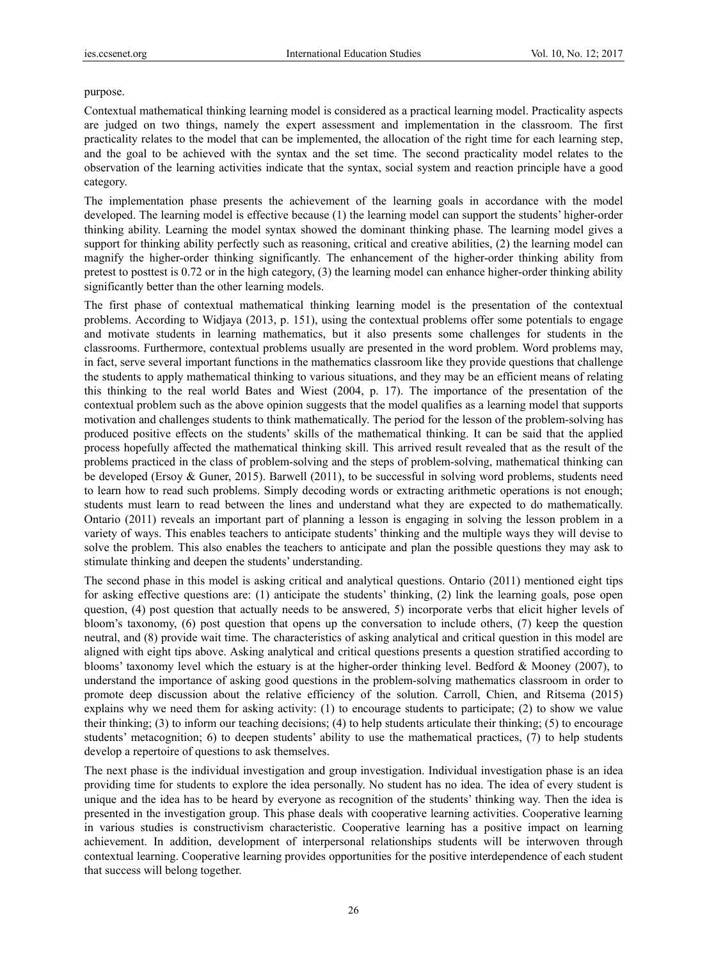#### purpose.

Contextual mathematical thinking learning model is considered as a practical learning model. Practicality aspects are judged on two things, namely the expert assessment and implementation in the classroom. The first practicality relates to the model that can be implemented, the allocation of the right time for each learning step, and the goal to be achieved with the syntax and the set time. The second practicality model relates to the observation of the learning activities indicate that the syntax, social system and reaction principle have a good category.

The implementation phase presents the achievement of the learning goals in accordance with the model developed. The learning model is effective because (1) the learning model can support the students' higher-order thinking ability. Learning the model syntax showed the dominant thinking phase. The learning model gives a support for thinking ability perfectly such as reasoning, critical and creative abilities, (2) the learning model can magnify the higher-order thinking significantly. The enhancement of the higher-order thinking ability from pretest to posttest is 0.72 or in the high category, (3) the learning model can enhance higher-order thinking ability significantly better than the other learning models.

The first phase of contextual mathematical thinking learning model is the presentation of the contextual problems. According to Widjaya (2013, p. 151), using the contextual problems offer some potentials to engage and motivate students in learning mathematics, but it also presents some challenges for students in the classrooms. Furthermore, contextual problems usually are presented in the word problem. Word problems may, in fact, serve several important functions in the mathematics classroom like they provide questions that challenge the students to apply mathematical thinking to various situations, and they may be an efficient means of relating this thinking to the real world Bates and Wiest (2004, p. 17). The importance of the presentation of the contextual problem such as the above opinion suggests that the model qualifies as a learning model that supports motivation and challenges students to think mathematically. The period for the lesson of the problem-solving has produced positive effects on the students' skills of the mathematical thinking. It can be said that the applied process hopefully affected the mathematical thinking skill. This arrived result revealed that as the result of the problems practiced in the class of problem-solving and the steps of problem-solving, mathematical thinking can be developed (Ersoy & Guner, 2015). Barwell (2011), to be successful in solving word problems, students need to learn how to read such problems. Simply decoding words or extracting arithmetic operations is not enough; students must learn to read between the lines and understand what they are expected to do mathematically. Ontario (2011) reveals an important part of planning a lesson is engaging in solving the lesson problem in a variety of ways. This enables teachers to anticipate students' thinking and the multiple ways they will devise to solve the problem. This also enables the teachers to anticipate and plan the possible questions they may ask to stimulate thinking and deepen the students' understanding.

The second phase in this model is asking critical and analytical questions. Ontario (2011) mentioned eight tips for asking effective questions are: (1) anticipate the students' thinking, (2) link the learning goals, pose open question, (4) post question that actually needs to be answered, 5) incorporate verbs that elicit higher levels of bloom's taxonomy, (6) post question that opens up the conversation to include others, (7) keep the question neutral, and (8) provide wait time. The characteristics of asking analytical and critical question in this model are aligned with eight tips above. Asking analytical and critical questions presents a question stratified according to blooms' taxonomy level which the estuary is at the higher-order thinking level. Bedford  $&$  Mooney (2007), to understand the importance of asking good questions in the problem-solving mathematics classroom in order to promote deep discussion about the relative efficiency of the solution. Carroll, Chien, and Ritsema (2015) explains why we need them for asking activity: (1) to encourage students to participate; (2) to show we value their thinking; (3) to inform our teaching decisions; (4) to help students articulate their thinking; (5) to encourage students' metacognition; 6) to deepen students' ability to use the mathematical practices, (7) to help students develop a repertoire of questions to ask themselves.

The next phase is the individual investigation and group investigation. Individual investigation phase is an idea providing time for students to explore the idea personally. No student has no idea. The idea of every student is unique and the idea has to be heard by everyone as recognition of the students' thinking way. Then the idea is presented in the investigation group. This phase deals with cooperative learning activities. Cooperative learning in various studies is constructivism characteristic. Cooperative learning has a positive impact on learning achievement. In addition, development of interpersonal relationships students will be interwoven through contextual learning. Cooperative learning provides opportunities for the positive interdependence of each student that success will belong together.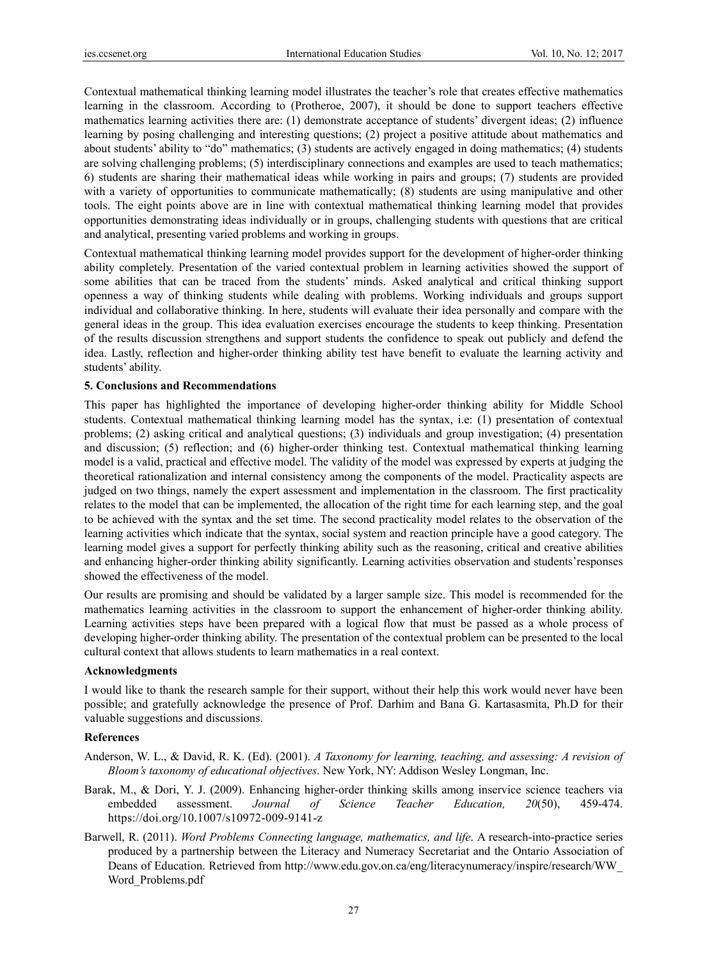Contextual mathematical thinking learning model illustrates the teacher's role that creates effective mathematics learning in the classroom. According to (Protheroe, 2007), it should be done to support teachers effective mathematics learning activities there are: (1) demonstrate acceptance of students' divergent ideas; (2) influence learning by posing challenging and interesting questions; (2) project a positive attitude about mathematics and about students' ability to "do" mathematics; (3) students are actively engaged in doing mathematics; (4) students are solving challenging problems; (5) interdisciplinary connections and examples are used to teach mathematics; 6) students are sharing their mathematical ideas while working in pairs and groups; (7) students are provided with a variety of opportunities to communicate mathematically; (8) students are using manipulative and other tools. The eight points above are in line with contextual mathematical thinking learning model that provides opportunities demonstrating ideas individually or in groups, challenging students with questions that are critical and analytical, presenting varied problems and working in groups.

Contextual mathematical thinking learning model provides support for the development of higher-order thinking ability completely. Presentation of the varied contextual problem in learning activities showed the support of some abilities that can be traced from the students' minds. Asked analytical and critical thinking support openness a way of thinking students while dealing with problems. Working individuals and groups support individual and collaborative thinking. In here, students will evaluate their idea personally and compare with the general ideas in the group. This idea evaluation exercises encourage the students to keep thinking. Presentation of the results discussion strengthens and support students the confidence to speak out publicly and defend the idea. Lastly, reflection and higher-order thinking ability test have benefit to evaluate the learning activity and students' ability.

#### **5. Conclusions and Recommendations**

This paper has highlighted the importance of developing higher-order thinking ability for Middle School students. Contextual mathematical thinking learning model has the syntax, i.e: (1) presentation of contextual problems; (2) asking critical and analytical questions; (3) individuals and group investigation; (4) presentation and discussion; (5) reflection; and (6) higher-order thinking test. Contextual mathematical thinking learning model is a valid, practical and effective model. The validity of the model was expressed by experts at judging the theoretical rationalization and internal consistency among the components of the model. Practicality aspects are judged on two things, namely the expert assessment and implementation in the classroom. The first practicality relates to the model that can be implemented, the allocation of the right time for each learning step, and the goal to be achieved with the syntax and the set time. The second practicality model relates to the observation of the learning activities which indicate that the syntax, social system and reaction principle have a good category. The learning model gives a support for perfectly thinking ability such as the reasoning, critical and creative abilities and enhancing higher-order thinking ability significantly. Learning activities observation and students'responses showed the effectiveness of the model.

Our results are promising and should be validated by a larger sample size. This model is recommended for the mathematics learning activities in the classroom to support the enhancement of higher-order thinking ability. Learning activities steps have been prepared with a logical flow that must be passed as a whole process of developing higher-order thinking ability. The presentation of the contextual problem can be presented to the local cultural context that allows students to learn mathematics in a real context.

## **Acknowledgments**

I would like to thank the research sample for their support, without their help this work would never have been possible; and gratefully acknowledge the presence of Prof. Darhim and Bana G. Kartasasmita, Ph.D for their valuable suggestions and discussions.

## **References**

- Anderson, W. L., & David, R. K. (Ed). (2001). *A Taxonomy for learning, teaching, and assessing: A revision of Bloom's taxonomy of educational objectives*. New York, NY: Addison Wesley Longman, Inc.
- Barak, M., & Dori, Y. J. (2009). Enhancing higher-order thinking skills among inservice science teachers via embedded assessment. *Journal of Science Teacher Education, 20*(50), 459-474. https://doi.org/10.1007/s10972-009-9141-z
- Barwell, R. (2011). *Word Problems Connecting language, mathematics, and life*. A research-into-practice series produced by a partnership between the Literacy and Numeracy Secretariat and the Ontario Association of Deans of Education. Retrieved from http://www.edu.gov.on.ca/eng/literacynumeracy/inspire/research/WW\_ Word\_Problems.pdf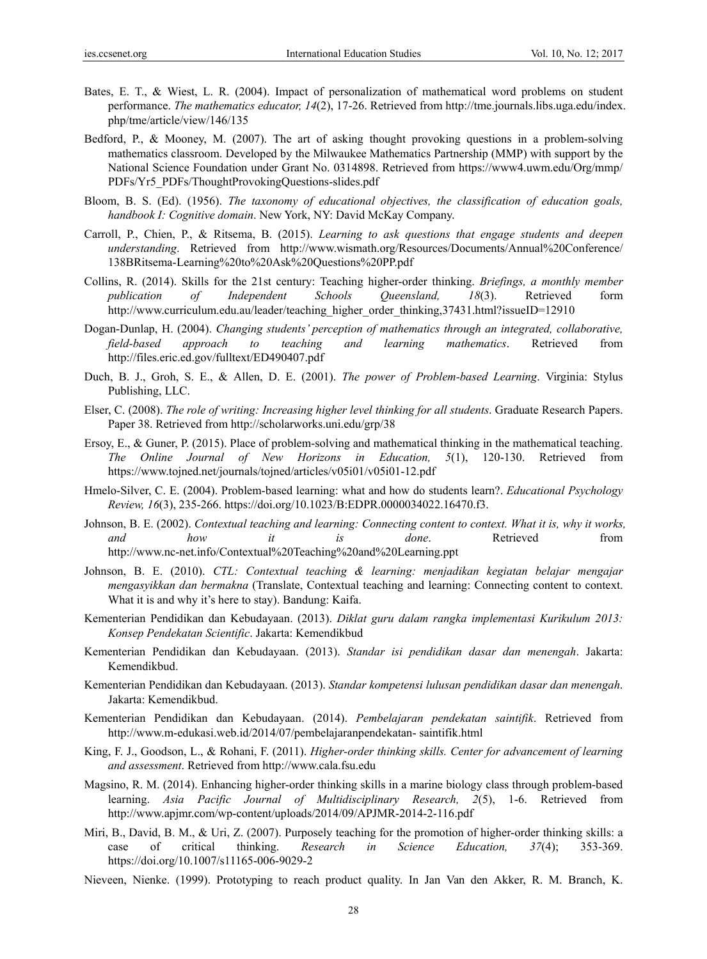- Bates, E. T., & Wiest, L. R. (2004). Impact of personalization of mathematical word problems on student performance. *The mathematics educator, 14*(2), 17-26. Retrieved from http://tme.journals.libs.uga.edu/index. php/tme/article/view/146/135
- Bedford, P., & Mooney, M. (2007). The art of asking thought provoking questions in a problem-solving mathematics classroom. Developed by the Milwaukee Mathematics Partnership (MMP) with support by the National Science Foundation under Grant No. 0314898. Retrieved from https://www4.uwm.edu/Org/mmp/ PDFs/Yr5\_PDFs/ThoughtProvokingQuestions-slides.pdf
- Bloom, B. S. (Ed). (1956). *The taxonomy of educational objectives, the classification of education goals, handbook I: Cognitive domain*. New York, NY: David McKay Company.
- Carroll, P., Chien, P., & Ritsema, B. (2015). *Learning to ask questions that engage students and deepen understanding*. Retrieved from http://www.wismath.org/Resources/Documents/Annual%20Conference/ 138BRitsema-Learning%20to%20Ask%20Questions%20PP.pdf
- Collins, R. (2014). Skills for the 21st century: Teaching higher-order thinking. *Briefings, a monthly member publication of Independent Schools Queensland, 18*(3). Retrieved form http://www.curriculum.edu.au/leader/teaching\_higher\_order\_thinking,37431.html?issueID=12910
- Dogan-Dunlap, H. (2004). *Changing students' perception of mathematics through an integrated, collaborative, field-based approach to teaching and learning mathematics*. Retrieved from http://files.eric.ed.gov/fulltext/ED490407.pdf
- Duch, B. J., Groh, S. E., & Allen, D. E. (2001). *The power of Problem-based Learning*. Virginia: Stylus Publishing, LLC.
- Elser, C. (2008). *The role of writing: Increasing higher level thinking for all students*. Graduate Research Papers. Paper 38. Retrieved from http://scholarworks.uni.edu/grp/38
- Ersoy, E., & Guner, P. (2015). Place of problem-solving and mathematical thinking in the mathematical teaching. *The Online Journal of New Horizons in Education, 5*(1), 120-130. Retrieved from https://www.tojned.net/journals/tojned/articles/v05i01/v05i01-12.pdf
- Hmelo-Silver, C. E. (2004). Problem-based learning: what and how do students learn?. *Educational Psychology Review, 16*(3), 235-266. https://doi.org/10.1023/B:EDPR.0000034022.16470.f3.
- Johnson, B. E. (2002). *Contextual teaching and learning: Connecting content to context. What it is, why it works, and how it is done*. Retrieved from http://www.nc-net.info/Contextual%20Teaching%20and%20Learning.ppt
- Johnson, B. E. (2010). *CTL: Contextual teaching & learning: menjadikan kegiatan belajar mengajar mengasyikkan dan bermakna* (Translate, Contextual teaching and learning: Connecting content to context. What it is and why it's here to stay). Bandung: Kaifa.
- Kementerian Pendidikan dan Kebudayaan. (2013). *Diklat guru dalam rangka implementasi Kurikulum 2013: Konsep Pendekatan Scientific*. Jakarta: Kemendikbud
- Kementerian Pendidikan dan Kebudayaan. (2013). *Standar isi pendidikan dasar dan menengah*. Jakarta: Kemendikbud.
- Kementerian Pendidikan dan Kebudayaan. (2013). *Standar kompetensi lulusan pendidikan dasar dan menengah*. Jakarta: Kemendikbud.
- Kementerian Pendidikan dan Kebudayaan. (2014). *Pembelajaran pendekatan saintifik*. Retrieved from http://www.m-edukasi.web.id/2014/07/pembelajaranpendekatan- saintifik.html
- King, F. J., Goodson, L., & Rohani, F. (2011). *Higher-order thinking skills. Center for advancement of learning and assessment*. Retrieved from http://www.cala.fsu.edu
- Magsino, R. M. (2014). Enhancing higher-order thinking skills in a marine biology class through problem-based learning. *Asia Pacific Journal of Multidisciplinary Research, 2*(5), 1-6. Retrieved from http://www.apjmr.com/wp-content/uploads/2014/09/APJMR-2014-2-116.pdf
- Miri, B., David, B. M., & Uri, Z. (2007). Purposely teaching for the promotion of higher-order thinking skills: a case of critical thinking. *Research in Science Education, 37*(4); 353-369. https://doi.org/10.1007/s11165-006-9029-2
- Nieveen, Nienke. (1999). Prototyping to reach product quality. In Jan Van den Akker, R. M. Branch, K.